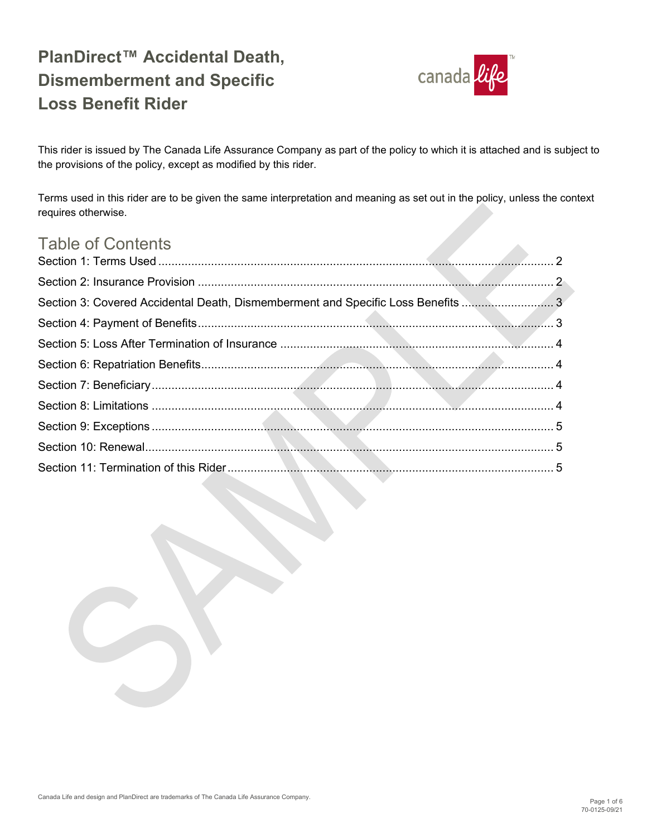

This rider is issued by The Canada Life Assurance Company as part of the policy to which it is attached and is subject to the provisions of the policy, except as modified by this rider.

Terms used in this rider are to be given the same interpretation and meaning as set out in the policy, unless the context requires otherwise.

| <b>Table of Contents</b>                                                        |  |
|---------------------------------------------------------------------------------|--|
|                                                                                 |  |
|                                                                                 |  |
| Section 3: Covered Accidental Death, Dismemberment and Specific Loss Benefits 3 |  |
|                                                                                 |  |
|                                                                                 |  |
|                                                                                 |  |
|                                                                                 |  |
|                                                                                 |  |
|                                                                                 |  |
|                                                                                 |  |
|                                                                                 |  |

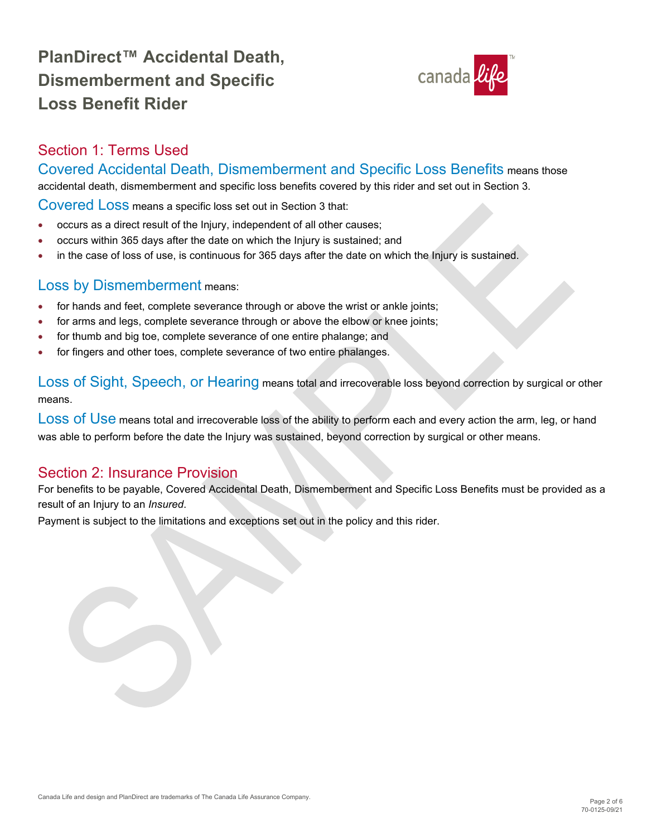

### <span id="page-1-0"></span>Section 1: Terms Used

#### Covered Accidental Death, Dismemberment and Specific Loss Benefits means those

accidental death, dismemberment and specific loss benefits covered by this rider and set out in Section 3.

Covered Loss means a specific loss set out in Section 3 that:

- occurs as a direct result of the Injury, independent of all other causes;
- occurs within 365 days after the date on which the Injury is sustained; and
- in the case of loss of use, is continuous for 365 days after the date on which the Injury is sustained.

#### Loss by Dismemberment means:

- for hands and feet, complete severance through or above the wrist or ankle joints;
- for arms and legs, complete severance through or above the elbow or knee joints;
- for thumb and big toe, complete severance of one entire phalange; and
- for fingers and other toes, complete severance of two entire phalanges.

Loss of Sight, Speech, or Hearing means total and irrecoverable loss beyond correction by surgical or other means.

LOSS Of USE means total and irrecoverable loss of the ability to perform each and every action the arm, leg, or hand was able to perform before the date the Injury was sustained, beyond correction by surgical or other means.

#### <span id="page-1-1"></span>Section 2: Insurance Provision

For benefits to be payable, Covered Accidental Death, Dismemberment and Specific Loss Benefits must be provided as a result of an Injury to an *Insured*.

Payment is subject to the limitations and exceptions set out in the policy and this rider.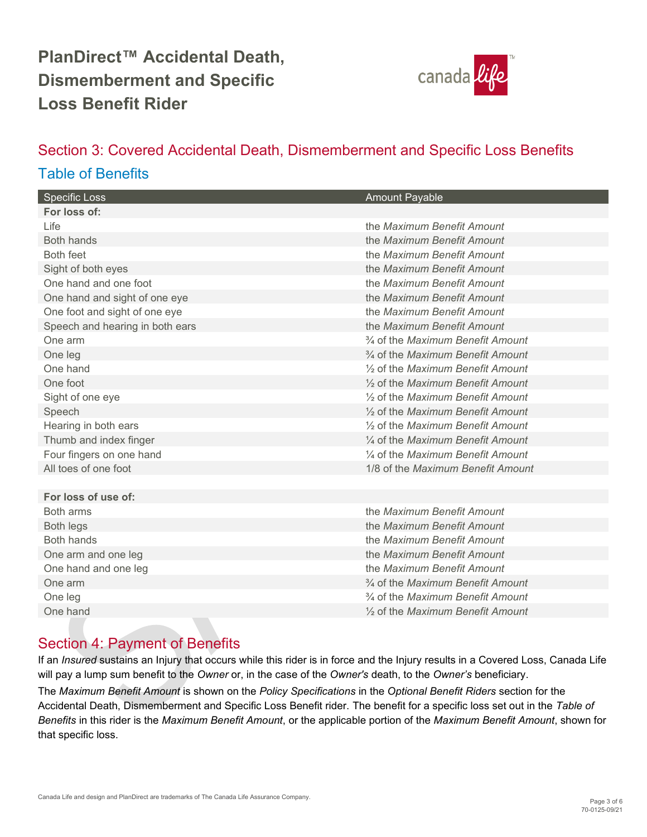

### <span id="page-2-0"></span>Section 3: Covered Accidental Death, Dismemberment and Specific Loss Benefits Table of Benefits

| <b>Specific Loss</b>            | <b>Amount Payable</b>                                     |
|---------------------------------|-----------------------------------------------------------|
| For loss of:                    |                                                           |
| $L$ ife                         | the Maximum Benefit Amount                                |
| <b>Both hands</b>               | the Maximum Benefit Amount                                |
| Both feet                       | the Maximum Benefit Amount                                |
| Sight of both eyes              | the Maximum Benefit Amount                                |
| One hand and one foot           | the Maximum Benefit Amount                                |
| One hand and sight of one eye   | the Maximum Benefit Amount                                |
| One foot and sight of one eye   | the Maximum Benefit Amount                                |
| Speech and hearing in both ears | the Maximum Benefit Amount                                |
| One arm                         | 3/4 of the Maximum Benefit Amount                         |
| One leg                         | <sup>3</sup> / <sub>4</sub> of the Maximum Benefit Amount |
| One hand                        | 1/2 of the Maximum Benefit Amount                         |
| One foot                        | 1/2 of the Maximum Benefit Amount                         |
| Sight of one eye                | 1/2 of the Maximum Benefit Amount                         |
| Speech                          | 1/2 of the Maximum Benefit Amount                         |
| Hearing in both ears            | 1/2 of the Maximum Benefit Amount                         |
| Thumb and index finger          | $\frac{1}{4}$ of the Maximum Benefit Amount               |
| Four fingers on one hand        | 1/4 of the Maximum Benefit Amount                         |
| All toes of one foot            | 1/8 of the Maximum Benefit Amount                         |
|                                 |                                                           |
| For loss of use of:             |                                                           |
| Both arms                       | the Maximum Benefit Amount                                |
| <b>Both legs</b>                | the Maximum Benefit Amount                                |
| Both hands                      | the Maximum Benefit Amount                                |
| One arm and one leg             | the Maximum Benefit Amount                                |
| One hand and one leg            | the Maximum Benefit Amount                                |
| One arm                         | <sup>3</sup> / <sub>4</sub> of the Maximum Benefit Amount |
| One leg                         | 3/4 of the Maximum Benefit Amount                         |
| One hand                        | 1/2 of the Maximum Benefit Amount                         |
|                                 |                                                           |

### <span id="page-2-1"></span>Section 4: Payment of Benefits

If an *Insured* sustains an Injury that occurs while this rider is in force and the Injury results in a Covered Loss, Canada Life will pay a lump sum benefit to the *Owner* or, in the case of the *Owner's* death, to the *Owner's* beneficiary.

The *Maximum Benefit Amount* is shown on the *Policy Specifications* in the *Optional Benefit Riders* section for the Accidental Death, Dismemberment and Specific Loss Benefit rider. The benefit for a specific loss set out in the *Table of Benefits* in this rider is the *Maximum Benefit Amount*, or the applicable portion of the *Maximum Benefit Amount*, shown for that specific loss.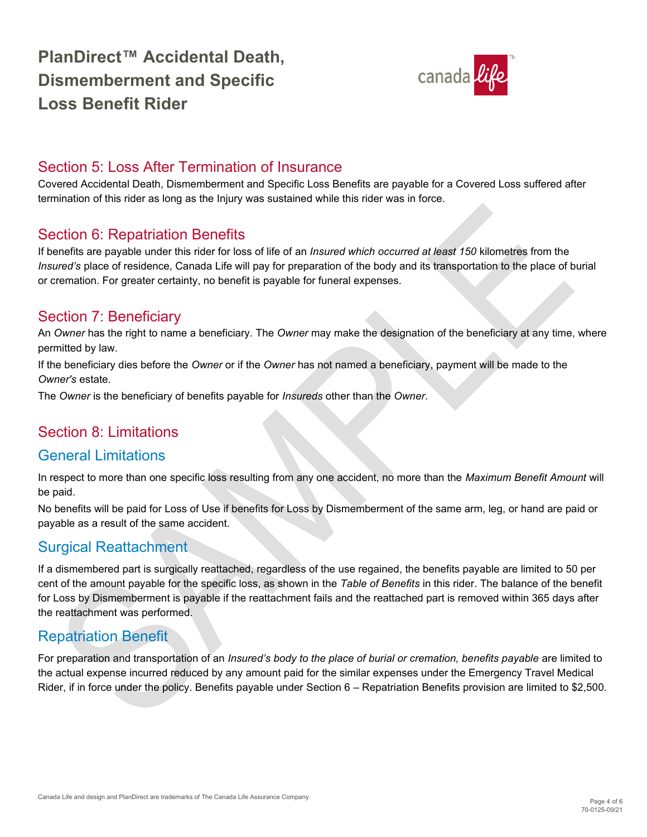

#### <span id="page-3-0"></span>Section 5: Loss After Termination of Insurance

Covered Accidental Death, Dismemberment and Specific Loss Benefits are payable for a Covered Loss suffered after termination of this rider as long as the Injury was sustained while this rider was in force.

#### <span id="page-3-1"></span>Section 6: Repatriation Benefits

If benefits are payable under this rider for loss of life of an *Insured which occurred at least 150* kilometres from the *Insured's* place of residence, Canada Life will pay for preparation of the body and its transportation to the place of burial or cremation. For greater certainty, no benefit is payable for funeral expenses.

#### <span id="page-3-2"></span>Section 7: Beneficiary

An *Owner* has the right to name a beneficiary. The *Owner* may make the designation of the beneficiary at any time, where permitted by law.

If the beneficiary dies before the *Owner* or if the *Owner* has not named a beneficiary, payment will be made to the *Owner's* estate.

The *Owner* is the beneficiary of benefits payable for *Insureds* other than the *Owner*.

### <span id="page-3-3"></span>Section 8: Limitations

#### General Limitations

In respect to more than one specific loss resulting from any one accident, no more than the *Maximum Benefit Amount* will be paid.

No benefits will be paid for Loss of Use if benefits for Loss by Dismemberment of the same arm, leg, or hand are paid or payable as a result of the same accident.

### Surgical Reattachment

If a dismembered part is surgically reattached, regardless of the use regained, the benefits payable are limited to 50 per cent of the amount payable for the specific loss, as shown in the *Table of Benefits* in this rider. The balance of the benefit for Loss by Dismemberment is payable if the reattachment fails and the reattached part is removed within 365 days after the reattachment was performed.

### Repatriation Benefit

For preparation and transportation of an *Insured's body to the place of burial or cremation, benefits payable* are limited to the actual expense incurred reduced by any amount paid for the similar expenses under the Emergency Travel Medical Rider, if in force under the policy. Benefits payable under Section 6 – Repatriation Benefits provision are limited to \$2,500.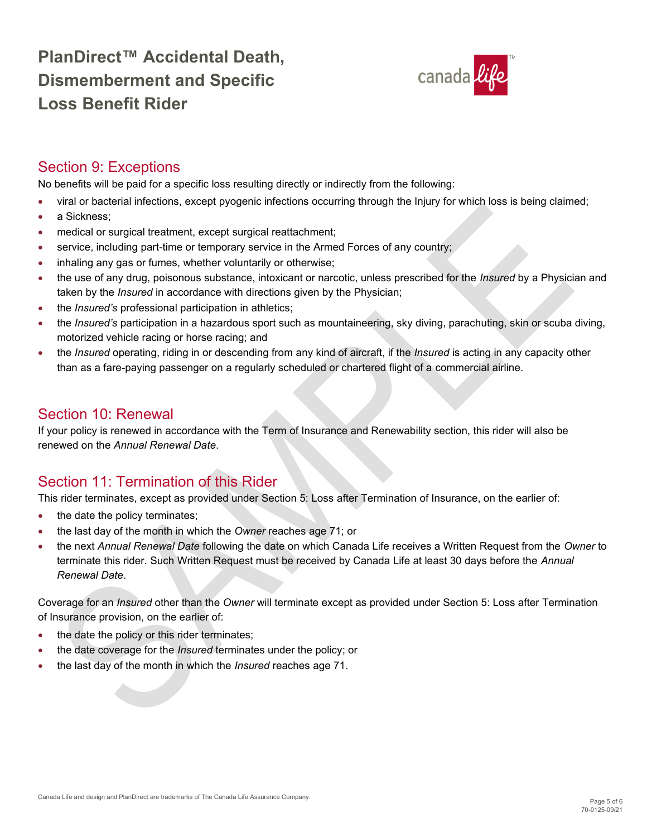

### <span id="page-4-0"></span>Section 9: Exceptions

No benefits will be paid for a specific loss resulting directly or indirectly from the following:

- viral or bacterial infections, except pyogenic infections occurring through the Injury for which loss is being claimed;
- a Sickness:
- medical or surgical treatment, except surgical reattachment;
- service, including part-time or temporary service in the Armed Forces of any country;
- inhaling any gas or fumes, whether voluntarily or otherwise;
- the use of any drug, poisonous substance, intoxicant or narcotic, unless prescribed for the *Insured* by a Physician and taken by the *Insured* in accordance with directions given by the Physician;
- the *Insured's* professional participation in athletics;
- the *Insured's* participation in a hazardous sport such as mountaineering, sky diving, parachuting, skin or scuba diving, motorized vehicle racing or horse racing; and
- the *Insured* operating, riding in or descending from any kind of aircraft, if the *Insured* is acting in any capacity other than as a fare-paying passenger on a regularly scheduled or chartered flight of a commercial airline.

### <span id="page-4-1"></span>Section 10: Renewal

If your policy is renewed in accordance with the Term of Insurance and Renewability section, this rider will also be renewed on the *Annual Renewal Date*.

### <span id="page-4-2"></span>Section 11: Termination of this Rider

This rider terminates, except as provided under Section 5: Loss after Termination of Insurance, on the earlier of:

- the date the policy terminates;
- the last day of the month in which the *Owner* reaches age 71; or
- the next *Annual Renewal Date* following the date on which Canada Life receives a Written Request from the *Owner* to terminate this rider. Such Written Request must be received by Canada Life at least 30 days before the *Annual Renewal Date*.

Coverage for an *Insured* other than the *Owner* will terminate except as provided under Section 5: Loss after Termination of Insurance provision, on the earlier of:

- the date the policy or this rider terminates;
- the date coverage for the *Insured* terminates under the policy; or
- the last day of the month in which the *Insured* reaches age 71.